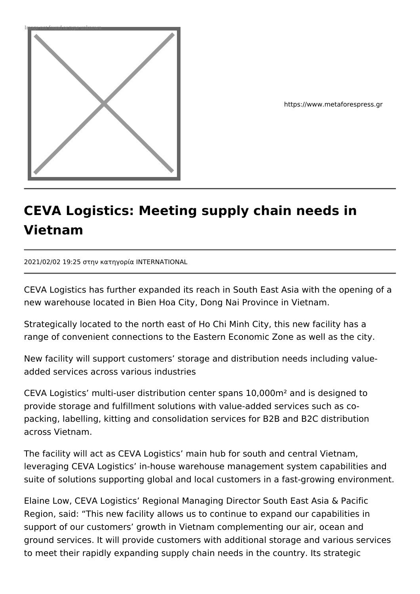

https://www.metaforespress.gr

## **CEVA Logistics: Meeting supply chain needs in Vietnam**

2021/02/02 19:25 στην κατηγορία INTERNATIONAL

CEVA Logistics has further expanded its reach in South East Asia with the opening of a new warehouse located in Bien Hoa City, Dong Nai Province in Vietnam.

Strategically located to the north east of Ho Chi Minh City, this new facility has a range of convenient connections to the Eastern Economic Zone as well as the city.

New facility will support customers' storage and distribution needs including valueadded services across various industries

CEVA Logistics' multi-user distribution center spans 10,000m² and is designed to provide storage and fulfillment solutions with value-added services such as copacking, labelling, kitting and consolidation services for B2B and B2C distribution across Vietnam.

The facility will act as CEVA Logistics' main hub for south and central Vietnam, leveraging CEVA Logistics' in-house warehouse management system capabilities and suite of solutions supporting global and local customers in a fast-growing environment.

Elaine Low, CEVA Logistics' Regional Managing Director South East Asia & Pacific Region, said: "This new facility allows us to continue to expand our capabilities in support of our customers' growth in Vietnam complementing our air, ocean and ground services. It will provide customers with additional storage and various services to meet their rapidly expanding supply chain needs in the country. Its strategic